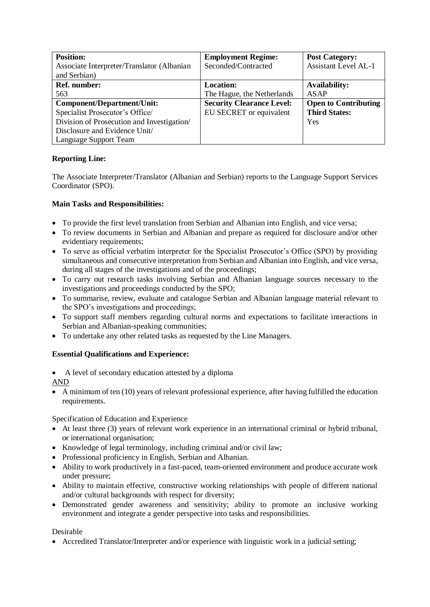| <b>Position:</b>                           | <b>Employment Regime:</b>        | <b>Post Category:</b>       |
|--------------------------------------------|----------------------------------|-----------------------------|
| Associate Interpreter/Translator (Albanian | Seconded/Contracted              | <b>Assistant Level AL-1</b> |
| and Serbian)                               |                                  |                             |
| <b>Ref. number:</b>                        | <b>Location:</b>                 | <b>Availability:</b>        |
| 563                                        | The Hague, the Netherlands       | <b>ASAP</b>                 |
| Component/Department/Unit:                 | <b>Security Clearance Level:</b> | <b>Open to Contributing</b> |
| Specialist Prosecutor's Office/            | EU SECRET or equivalent          | <b>Third States:</b>        |
| Division of Prosecution and Investigation/ |                                  | Yes                         |
| Disclosure and Evidence Unit/              |                                  |                             |
| Language Support Team                      |                                  |                             |

## **Reporting Line:**

The Associate Interpreter/Translator (Albanian and Serbian) reports to the Language Support Services Coordinator (SPO).

## **Main Tasks and Responsibilities:**

- To provide the first level translation from Serbian and Albanian into English, and vice versa;
- To review documents in Serbian and Albanian and prepare as required for disclosure and/or other evidentiary requirements;
- To serve as official verbatim interpreter for the Specialist Prosecutor's Office (SPO) by providing simultaneous and consecutive interpretation from Serbian and Albanian into English, and vice versa, during all stages of the investigations and of the proceedings;
- To carry out research tasks involving Serbian and Albanian language sources necessary to the investigations and proceedings conducted by the SPO;
- To summarise, review, evaluate and catalogue Serbian and Albanian language material relevant to the SPO's investigations and proceedings;
- To support staff members regarding cultural norms and expectations to facilitate interactions in Serbian and Albanian-speaking communities;
- To undertake any other related tasks as requested by the Line Managers.

## **Essential Qualifications and Experience:**

• A level of secondary education attested by a diploma

AND

• A minimum of ten (10) years of relevant professional experience, after having fulfilled the education requirements.

Specification of Education and Experience

- At least three (3) years of relevant work experience in an international criminal or hybrid tribunal, or international organisation;
- Knowledge of legal terminology, including criminal and/or civil law;
- Professional proficiency in English, Serbian and Albanian.
- Ability to work productively in a fast-paced, team-oriented environment and produce accurate work under pressure;
- Ability to maintain effective, constructive working relationships with people of different national and/or cultural backgrounds with respect for diversity;
- Demonstrated gender awareness and sensitivity; ability to promote an inclusive working environment and integrate a gender perspective into tasks and responsibilities.

## Desirable

• Accredited Translator/Interpreter and/or experience with linguistic work in a judicial setting;